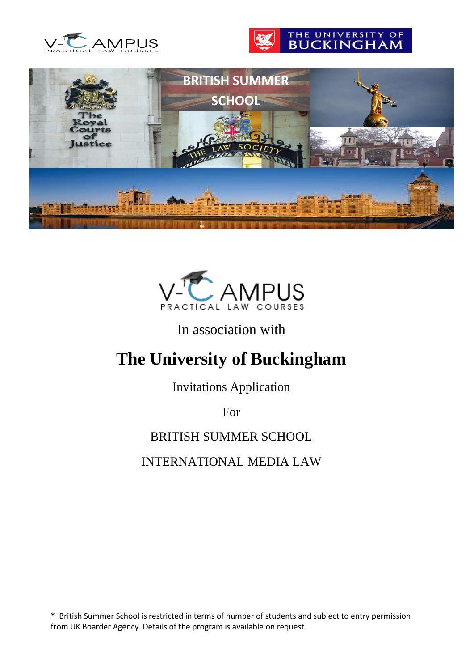







## In association with

# **The University of Buckingham**

Invitations Application

For

## BRITISH SUMMER SCHOOL

## INTERNATIONAL MEDIA LAW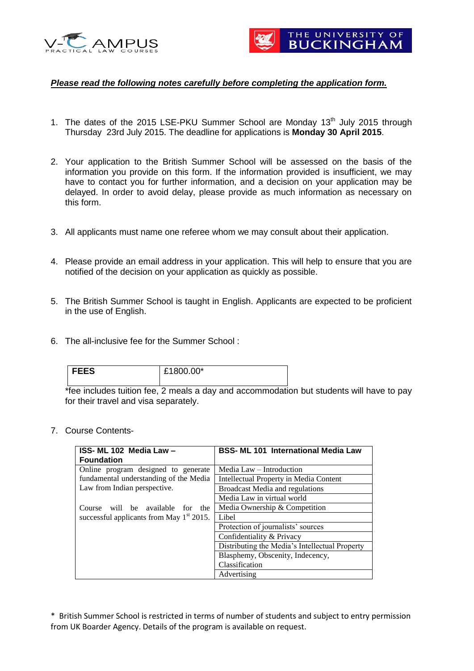



#### *Please read the following notes carefully before completing the application form.*

- 1. The dates of the 2015 LSE-PKU Summer School are Monday 13<sup>th</sup> July 2015 through Thursday 23rd July 2015. The deadline for applications is **Monday 30 April 2015**.
- 2. Your application to the British Summer School will be assessed on the basis of the information you provide on this form. If the information provided is insufficient, we may have to contact you for further information, and a decision on your application may be delayed. In order to avoid delay, please provide as much information as necessary on this form.
- 3. All applicants must name one referee whom we may consult about their application.
- 4. Please provide an email address in your application. This will help to ensure that you are notified of the decision on your application as quickly as possible.
- 5. The British Summer School is taught in English. Applicants are expected to be proficient in the use of English.
- 6. The all-inclusive fee for the Summer School :

| <b>FEES</b> | £1800.00* |
|-------------|-----------|
|             |           |

\*fee includes tuition fee, 2 meals a day and accommodation but students will have to pay for their travel and visa separately.

7. Course Contents-

| ISS- ML 102 Media Law -                     | <b>BSS- ML 101 International Media Law</b>     |  |  |
|---------------------------------------------|------------------------------------------------|--|--|
| <b>Foundation</b>                           |                                                |  |  |
| Online program designed to generate         | Media Law – Introduction                       |  |  |
| fundamental understanding of the Media      | Intellectual Property in Media Content         |  |  |
| Law from Indian perspective.                | <b>Broadcast Media and regulations</b>         |  |  |
|                                             | Media Law in virtual world                     |  |  |
| Course will be available for<br>the         | Media Ownership & Competition                  |  |  |
| successful applicants from May $1st 2015$ . | Libel                                          |  |  |
|                                             | Protection of journalists' sources             |  |  |
|                                             | Confidentiality & Privacy                      |  |  |
|                                             | Distributing the Media's Intellectual Property |  |  |
|                                             | Blasphemy, Obscenity, Indecency,               |  |  |
|                                             | Classification                                 |  |  |
|                                             | Advertising                                    |  |  |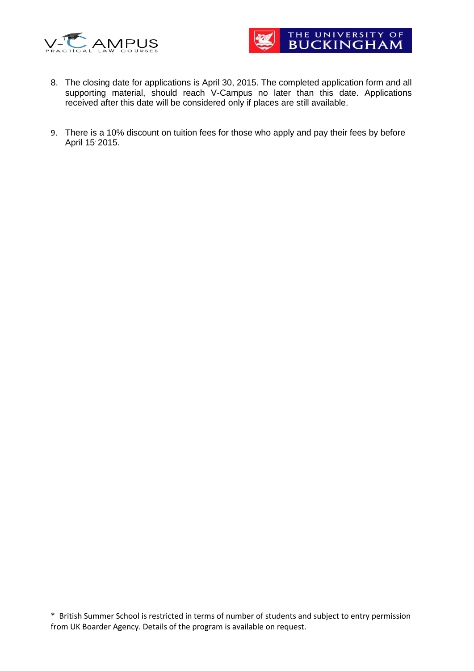



- 8. The closing date for applications is April 30, 2015. The completed application form and all supporting material, should reach V-Campus no later than this date. Applications received after this date will be considered only if places are still available.
- 9. There is a 10% discount on tuition fees for those who apply and pay their fees by before April 15<sup>,</sup> 2015.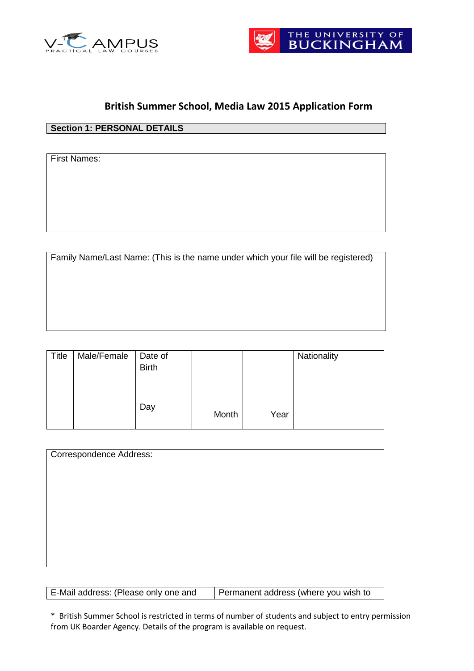



#### **British Summer School, Media Law 2015 Application Form**

#### **Section 1: PERSONAL DETAILS**

First Names:

Family Name/Last Name: (This is the name under which your file will be registered)

| <b>Title</b> | Male/Female | Date of      |       |      | Nationality |
|--------------|-------------|--------------|-------|------|-------------|
|              |             | <b>Birth</b> |       |      |             |
|              |             |              |       |      |             |
|              |             |              |       |      |             |
|              |             |              |       |      |             |
|              |             | Day          | Month | Year |             |
|              |             |              |       |      |             |

| Correspondence Address: |  |  |
|-------------------------|--|--|
|                         |  |  |
|                         |  |  |
|                         |  |  |
|                         |  |  |
|                         |  |  |
|                         |  |  |

| E-Mail address: (Please only one and | Permanent address (where you wish to |
|--------------------------------------|--------------------------------------|
|--------------------------------------|--------------------------------------|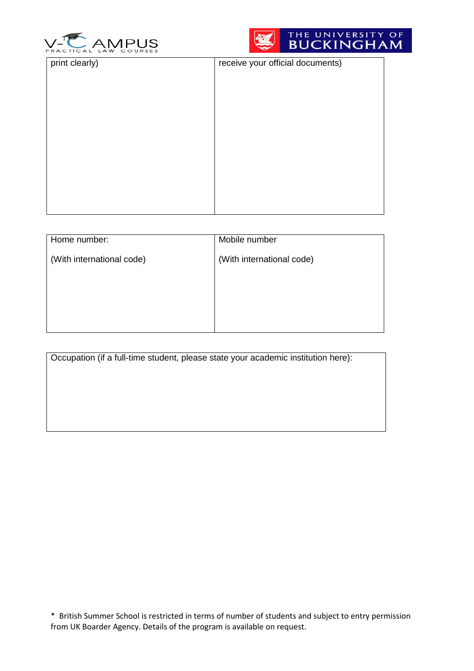



| print clearly) | receive your official documents) |
|----------------|----------------------------------|
|                |                                  |
|                |                                  |
|                |                                  |
|                |                                  |
|                |                                  |
|                |                                  |
|                |                                  |
|                |                                  |
|                |                                  |
|                |                                  |
|                |                                  |
|                |                                  |
|                |                                  |
|                |                                  |
|                |                                  |
|                |                                  |
|                |                                  |
|                |                                  |
|                |                                  |
|                |                                  |
|                |                                  |
|                |                                  |
|                |                                  |
|                |                                  |
|                |                                  |
|                |                                  |
|                |                                  |
|                |                                  |

| Home number:              | Mobile number             |
|---------------------------|---------------------------|
| (With international code) | (With international code) |
|                           |                           |
|                           |                           |
|                           |                           |
|                           |                           |

Occupation (if a full-time student, please state your academic institution here):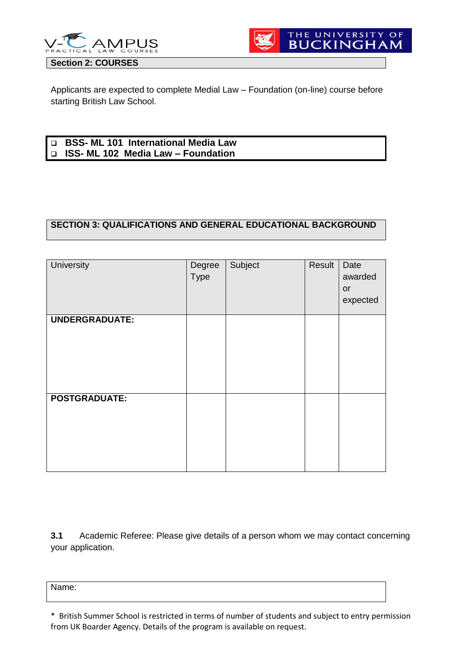



Applicants are expected to complete Medial Law – Foundation (on-line) course before starting British Law School.

| <b>D</b> BSS- ML 101 International Media Law |
|----------------------------------------------|
| D ISS- ML 102 Media Law – Foundation         |

#### **SECTION 3: QUALIFICATIONS AND GENERAL EDUCATIONAL BACKGROUND**

| <b>University</b>     | Degree<br><b>Type</b> | Subject | Result | Date<br>awarded<br>or<br>expected |
|-----------------------|-----------------------|---------|--------|-----------------------------------|
| <b>UNDERGRADUATE:</b> |                       |         |        |                                   |
| <b>POSTGRADUATE:</b>  |                       |         |        |                                   |

**3.1** Academic Referee: Please give details of a person whom we may contact concerning your application.

Name:

<sup>\*</sup> British Summer School is restricted in terms of number of students and subject to entry permission from UK Boarder Agency. Details of the program is available on request.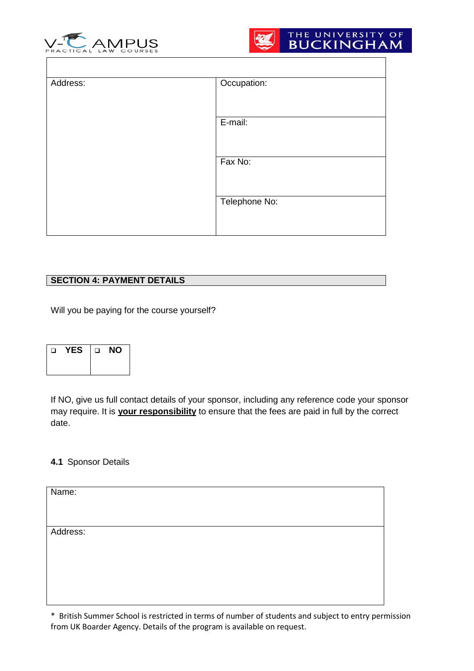



| Address: | Occupation:   |
|----------|---------------|
|          |               |
|          |               |
|          |               |
|          | E-mail:       |
|          |               |
|          |               |
|          |               |
|          | Fax No:       |
|          |               |
|          |               |
|          |               |
|          | Telephone No: |
|          |               |
|          |               |
|          |               |
|          |               |

#### **SECTION 4: PAYMENT DETAILS**

Will you be paying for the course yourself?

| YES<br>□ |  | □ | NΟ |
|----------|--|---|----|
|          |  |   |    |

If NO, give us full contact details of your sponsor, including any reference code your sponsor may require. It is **your responsibility** to ensure that the fees are paid in full by the correct date.

#### **4.1** Sponsor Details

| Name:    |  |  |
|----------|--|--|
|          |  |  |
|          |  |  |
| Address: |  |  |
|          |  |  |
|          |  |  |
|          |  |  |
|          |  |  |